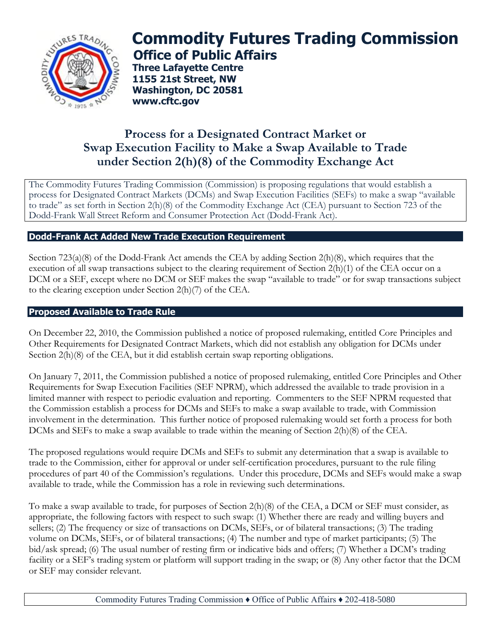

## **Commodity Futures Trading Commission Office of Public Affairs**

**Three Lafayette Centre 1155 21st Street, NW Washington, DC 20581 www.cftc.gov**

## **Process for a Designated Contract Market or Swap Execution Facility to Make a Swap Available to Trade under Section 2(h)(8) of the Commodity Exchange Act**

The Commodity Futures Trading Commission (Commission) is proposing regulations that would establish a process for Designated Contract Markets (DCMs) and Swap Execution Facilities (SEFs) to make a swap "available to trade" as set forth in Section 2(h)(8) of the Commodity Exchange Act (CEA) pursuant to Section 723 of the Dodd-Frank Wall Street Reform and Consumer Protection Act (Dodd-Frank Act).

## **Dodd-Frank Act Added New Trade Execution Requirement**

Section 723(a)(8) of the Dodd-Frank Act amends the CEA by adding Section 2(h)(8), which requires that the execution of all swap transactions subject to the clearing requirement of Section 2(h)(1) of the CEA occur on a DCM or a SEF, except where no DCM or SEF makes the swap "available to trade" or for swap transactions subject to the clearing exception under Section 2(h)(7) of the CEA.

## **Proposed Available to Trade Rule**

On December 22, 2010, the Commission published a notice of proposed rulemaking, entitled Core Principles and Other Requirements for Designated Contract Markets, which did not establish any obligation for DCMs under Section 2(h)(8) of the CEA, but it did establish certain swap reporting obligations.

On January 7, 2011, the Commission published a notice of proposed rulemaking, entitled Core Principles and Other Requirements for Swap Execution Facilities (SEF NPRM), which addressed the available to trade provision in a limited manner with respect to periodic evaluation and reporting. Commenters to the SEF NPRM requested that the Commission establish a process for DCMs and SEFs to make a swap available to trade, with Commission involvement in the determination. This further notice of proposed rulemaking would set forth a process for both DCMs and SEFs to make a swap available to trade within the meaning of Section 2(h)(8) of the CEA.

The proposed regulations would require DCMs and SEFs to submit any determination that a swap is available to trade to the Commission, either for approval or under self-certification procedures, pursuant to the rule filing procedures of part 40 of the Commission's regulations. Under this procedure, DCMs and SEFs would make a swap available to trade, while the Commission has a role in reviewing such determinations.

To make a swap available to trade, for purposes of Section 2(h)(8) of the CEA, a DCM or SEF must consider, as appropriate, the following factors with respect to such swap: (1) Whether there are ready and willing buyers and sellers; (2) The frequency or size of transactions on DCMs, SEFs, or of bilateral transactions; (3) The trading volume on DCMs, SEFs, or of bilateral transactions; (4) The number and type of market participants; (5) The bid/ask spread; (6) The usual number of resting firm or indicative bids and offers; (7) Whether a DCM's trading facility or a SEF's trading system or platform will support trading in the swap; or (8) Any other factor that the DCM or SEF may consider relevant.